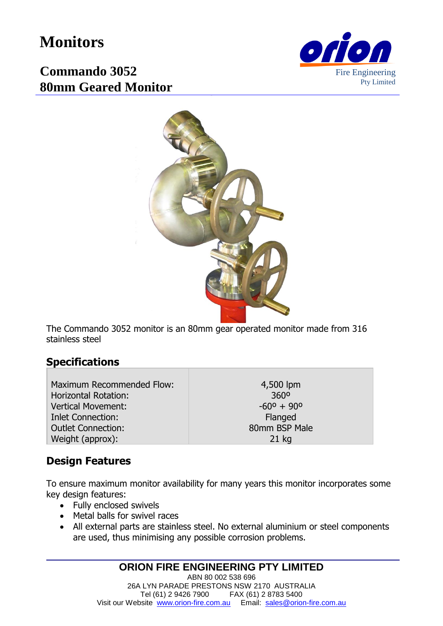# **Monitors**



## **Commando 3052 80mm Geared Monitor**



The Commando 3052 monitor is an 80mm gear operated monitor made from 316 stainless steel

#### **Specifications**

Maximum Recommended Flow: Horizontal Rotation: Vertical Movement: Inlet Connection: Outlet Connection: Weight (approx):

4,500 lpm 360º  $-60^{\circ} + 90^{\circ}$ Flanged 80mm BSP Male 21 kg

#### **Design Features**

To ensure maximum monitor availability for many years this monitor incorporates some key design features:

- Fully enclosed swivels
- Metal balls for swivel races
- All external parts are stainless steel. No external aluminium or steel components are used, thus minimising any possible corrosion problems.

#### **ORION FIRE ENGINEERING PTY LIMITED**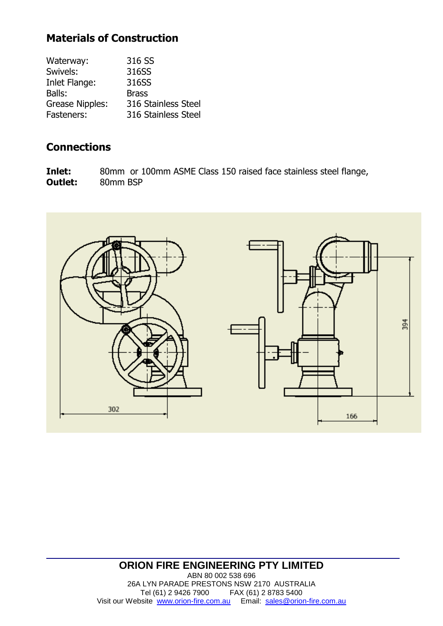### **Materials of Construction**

| Waterway:              | 316 SS              |
|------------------------|---------------------|
| Swivels:               | 316SS               |
| Inlet Flange:          | 316SS               |
| Balls:                 | <b>Brass</b>        |
| <b>Grease Nipples:</b> | 316 Stainless Steel |
| Fasteners:             | 316 Stainless Steel |

#### **Connections**

**Inlet:** 80mm or 100mm ASME Class 150 raised face stainless steel flange, **Outlet:** 80mm BSP



#### **ORION FIRE ENGINEERING PTY LIMITED** ABN 80 002 538 696 26A LYN PARADE PRESTONS NSW 2170 AUSTRALIA Tel (61) 2 9426 7900 FAX (61) 2 8783 5400 Visit our Website [www.orion-fire.com.au](http://www.orion-fire.com.au/) Email: [sales@orion-fire.com.au](mailto:sales@orion-fire.com.au)